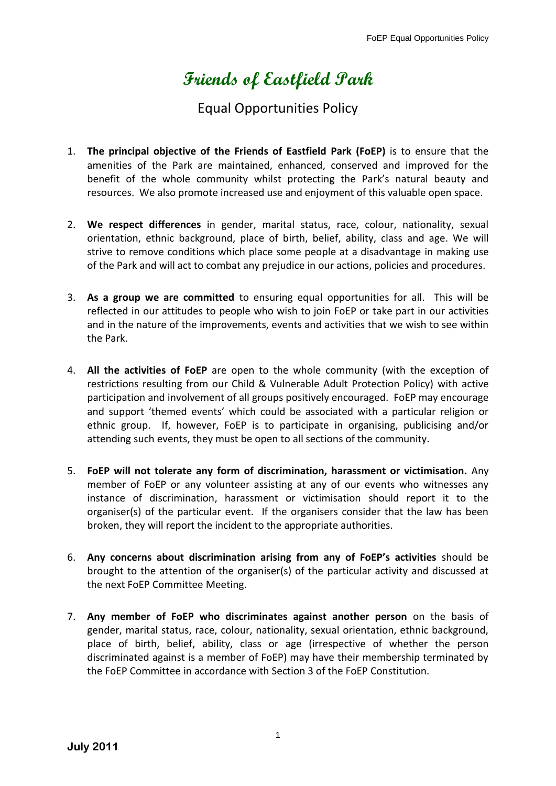## **Friends of Eastfield Park**

## Equal Opportunities Policy

- 1. **The principal objective of the Friends of Eastfield Park (FoEP)** is to ensure that the amenities of the Park are maintained, enhanced, conserved and improved for the benefit of the whole community whilst protecting the Park's natural beauty and resources. We also promote increased use and enjoyment of this valuable open space.
- 2. **We respect differences** in gender, marital status, race, colour, nationality, sexual orientation, ethnic background, place of birth, belief, ability, class and age. We will strive to remove conditions which place some people at a disadvantage in making use of the Park and will act to combat any prejudice in our actions, policies and procedures.
- 3. **As a group we are committed** to ensuring equal opportunities for all. This will be reflected in our attitudes to people who wish to join FoEP or take part in our activities and in the nature of the improvements, events and activities that we wish to see within the Park.
- 4. **All the activities of FoEP** are open to the whole community (with the exception of restrictions resulting from our Child & Vulnerable Adult Protection Policy) with active participation and involvement of all groups positively encouraged. FoEP may encourage and support 'themed events' which could be associated with a particular religion or ethnic group. If, however, FoEP is to participate in organising, publicising and/or attending such events, they must be open to all sections of the community.
- 5. **FoEP will not tolerate any form of discrimination, harassment or victimisation.** Any member of FoEP or any volunteer assisting at any of our events who witnesses any instance of discrimination, harassment or victimisation should report it to the organiser(s) of the particular event. If the organisers consider that the law has been broken, they will report the incident to the appropriate authorities.
- 6. **Any concerns about discrimination arising from any of FoEP's activities** should be brought to the attention of the organiser(s) of the particular activity and discussed at the next FoEP Committee Meeting.
- 7. **Any member of FoEP who discriminates against another person** on the basis of gender, marital status, race, colour, nationality, sexual orientation, ethnic background, place of birth, belief, ability, class or age (irrespective of whether the person discriminated against is a member of FoEP) may have their membership terminated by the FoEP Committee in accordance with Section 3 of the FoEP Constitution.